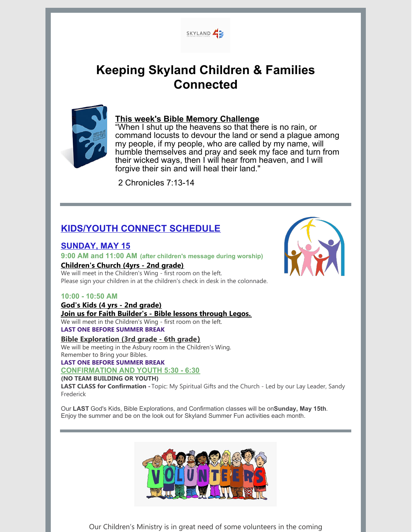

# **Keeping Skyland Children & Families Connected**



## **This week's Bible Memory Challenge**

"When I shut up the heavens so that there is no rain, or command locusts to devour the land or send a plague among my people, if my people, who are called by my name, will humble themselves and pray and seek my face and turn from their wicked ways, then I will hear from heaven, and I will forgive their sin and will heal their land."

2 Chronicles 7:13-14

# **KIDS/YOUTH CONNECT SCHEDULE**

## **SUNDAY, MAY 15**

#### **9:00 AM and 11:00 AM (after children's message during worship)**

#### **Children's Church (4yrs - 2nd grade)**

We will meet in the Children's Wing - first room on the left. Please sign your children in at the children's check in desk in the colonnade.

#### **10:00 - 10:50 AM**

# **God's Kids (4 yrs - 2nd grade)**

#### **Join us for Faith Builder's - Bible lessons through Legos.**

We will meet in the Children's Wing - first room on the left. **LAST ONE BEFORE SUMMER BREAK**

**Bible Exploration (3rd grade - 6th grade)** We will be meeting in the Asbury room in the Children's Wing. Remember to Bring your Bibles.

#### **LAST ONE BEFORE SUMMER BREAK**

#### **CONFIRMATION AND YOUTH 5:30 - 6:30**

#### **(NO TEAM BUILDING OR YOUTH)**

**LAST CLASS for Confirmation -** Topic: My Spiritual Gifts and the Church - Led by our Lay Leader, Sandy Frederick

Our **LAST** God's Kids, Bible Explorations, and Confirmation classes will be on**Sunday, May 15th**. Enjoy the summer and be on the look out for Skyland Summer Fun activities each month.



Our Children's Ministry is in great need of some volunteers in the coming

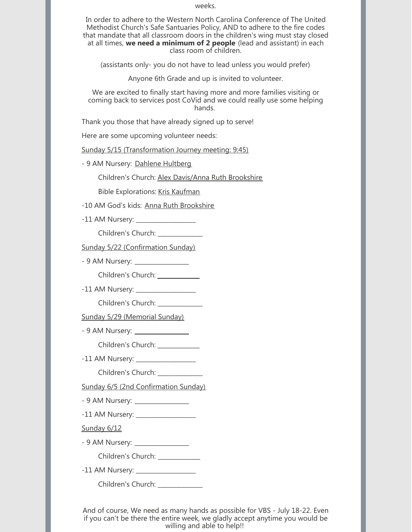weeks.

In order to adhere to the Western North Carolina Conference of The United Methodist Church's Safe Santuaries Policy, AND to adhere to the fire codes that mandate that all classroom doors in the children's wing must stay closed at all times, **we need a minimum of 2 people** (lead and assistant) in each class room of children.

(assistants only- you do not have to lead unless you would prefer)

Anyone 6th Grade and up is invited to volunteer.

We are excited to finally start having more and more families visiting or coming back to services post CoVid and we could really use some helping hands.

Thank you those that have already signed up to serve!

Here are some upcoming volunteer needs:

Sunday 5/15 (Transformation Journey meeting: 9:45)

- 9 AM Nursery: Dahlene Hultberg

Children's Church: Alex Davis/Anna Ruth Brookshire

Bible Explorations: Kris Kaufman

-10 AM God's kids: Anna Ruth Brookshire

-11 AM Nursery: \_\_\_\_\_\_\_\_\_\_\_\_\_\_\_\_\_\_\_\_

Children's Church: \_\_\_\_\_\_\_\_\_\_\_\_\_\_\_

Sunday 5/22 (Confirmation Sunday)

- 9 AM Nursery: \_\_\_\_\_\_\_\_\_\_\_\_\_\_\_\_\_\_

Children's Church: \_\_\_\_\_\_\_\_\_\_\_\_\_\_

-11 AM Nursery: \_\_\_\_\_\_\_\_\_\_\_\_\_\_\_\_\_\_\_\_

Children's Church: \_\_\_\_\_\_\_\_\_\_\_\_\_\_\_

Sunday 5/29 (Memorial Sunday)

- 9 AM Nursery: \_\_\_\_\_\_\_\_\_\_\_\_\_\_\_\_\_\_

Children's Church: \_\_\_\_\_\_\_\_\_\_\_\_\_

-11 AM Nursery: \_\_\_\_\_\_\_\_\_\_\_\_\_\_\_\_\_\_\_\_

Children's Church: \_\_\_\_\_\_\_\_\_\_

Sunday 6/5 (2nd Confirmation Sunday)

- 9 AM Nursery: \_\_\_\_\_\_\_\_\_\_\_\_\_\_\_\_\_\_

-11 AM Nursery: \_\_\_\_\_\_\_\_\_\_\_\_\_\_\_\_\_\_\_\_

Sunday 6/12

- 9 AM Nursery: \_\_\_\_\_\_\_\_\_\_\_\_\_\_\_\_\_\_

Children's Church: \_\_\_\_\_\_\_\_\_\_\_\_

-11 AM Nursery: \_\_\_\_\_\_\_\_\_\_\_\_\_\_\_\_\_\_\_\_

Children's Church: \_\_\_\_\_\_\_\_\_\_\_\_

And of course, We need as many hands as possible for VBS - July 18-22. Even if you can't be there the entire week, we gladly accept anytime you would be willing and able to help!!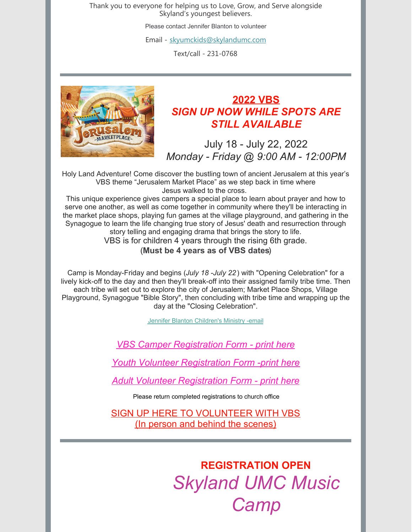Thank you to everyone for helping us to Love, Grow, and Serve alongside Skyland's youngest believers.

Please contact Jennifer Blanton to volunteer

Email - [skyumckids@skylandumc.com](mailto:skyumckids@skylandumc.com)

Text/call - 231-0768



# **2022 VBS** *SIGN UP NOW WHILE SPOTS ARE STILL AVAILABLE*

July 18 - July 22, 2022 *Monday - Friday @ 9:00 AM - 12:00PM*

Holy Land Adventure! Come discover the bustling town of ancient Jerusalem at this year's VBS theme "Jerusalem Market Place" as we step back in time where Jesus walked to the cross.

This unique experience gives campers a special place to learn about prayer and how to serve one another, as well as come together in community where they'll be interacting in the market place shops, playing fun games at the village playground, and gathering in the Synagogue to learn the life changing true story of Jesus' death and resurrection through story telling and engaging drama that brings the story to life. VBS is for children 4 years through the rising 6th grade.

## (**Must be 4 years as of VBS dates**)

Camp is Monday-Friday and begins (*July 18 -July 22*) with "Opening Celebration" for a lively kick-off to the day and then they'll break-off into their assigned family tribe time. Then each tribe will set out to explore the city of Jerusalem; Market Place Shops, Village Playground, Synagogue "Bible Story", then concluding with tribe time and wrapping up the day at the "Closing Celebration".

Jennifer Blanton [Children's](mailto:skyumckids@skylandumc.com) Ministry -email

*VBS Camper [Registration](https://files.constantcontact.com/d83da4b4101/dc56e4e8-e79e-4695-8d45-30a698c710c3.doc?rdr=true) Form - print here*

*Youth Volunteer [Registration](https://files.constantcontact.com/d83da4b4101/2b8275db-a071-46f4-9f64-9bfb1a8a9259.doc?rdr=true) Form -print here*

*Adult Volunteer [Registration](https://files.constantcontact.com/d83da4b4101/e1503a0a-be7f-4202-884e-368c084f8883.doc?rdr=true) Form - print here*

Please return completed registrations to church office

SIGN UP HERE TO [VOLUNTEER](https://www.signupgenius.com/go/20F0C4EABA72DAAFC1-vbsvolunteers) WITH VBS (In person and behind the [scenes\)](https://www.signupgenius.com/go/20F0C4EABA72DAAFC1-vbsvolunteers)

> **REGISTRATION OPEN** *Skyland UMC Music Camp*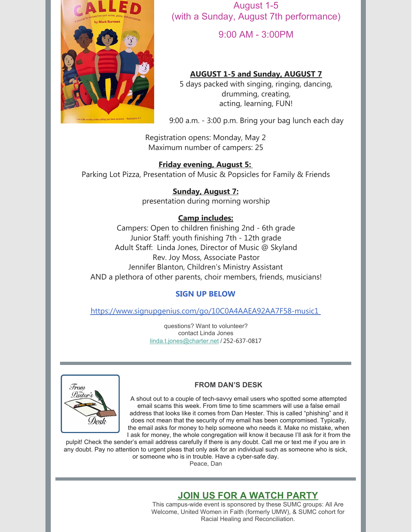

August 1-5 (with a Sunday, August 7th performance)

9:00 AM - 3:00PM

## **AUGUST 1-5 and Sunday, AUGUST 7**

5 days packed with singing, ringing, dancing, drumming, creating, acting, learning, FUN!

9:00 a.m. - 3:00 p.m. Bring your bag lunch each day

Registration opens: Monday, May 2 Maximum number of campers: 25

## **Friday evening, August 5:**

Parking Lot Pizza, Presentation of Music & Popsicles for Family & Friends

## **Sunday, August 7:**

presentation during morning worship

## **Camp includes:**

Campers: Open to children finishing 2nd - 6th grade Junior Staff: youth finishing 7th - 12th grade Adult Staff: Linda Jones, Director of Music @ Skyland Rev. Joy Moss, Associate Pastor Jennifer Blanton, Children's Ministry Assistant AND a plethora of other parents, choir members, friends, musicians!

## **SIGN UP BELOW**

<https://www.signupgenius.com/go/10C0A4AAEA92AA7F58-music1>

questions? Want to volunteer? contact Linda Jones [linda.t.jones@charter.net](mailto:linda.t.jones@charter.net) / 252-637-0817



## **FROM DAN'S DESK**

A shout out to a couple of tech-savvy email users who spotted some attempted email scams this week. From time to time scammers will use a false email address that looks like it comes from Dan Hester. This is called "phishing" and it does not mean that the security of my email has been compromised. Typically, the email asks for money to help someone who needs it. Make no mistake, when I ask for money, the whole congregation will know it because I'll ask for it from the

pulpit! Check the sender's email address carefully if there is any doubt. Call me or text me if you are in any doubt. Pay no attention to urgent pleas that only ask for an individual such as someone who is sick, or someone who is in trouble. Have a cyber-safe day.

Peace, Dan

## **JOIN US FOR A WATCH PARTY**

This campus-wide event is sponsored by these SUMC groups: All Are Welcome, United Women in Faith (formerly UMW), & SUMC cohort for Racial Healing and Reconciliation.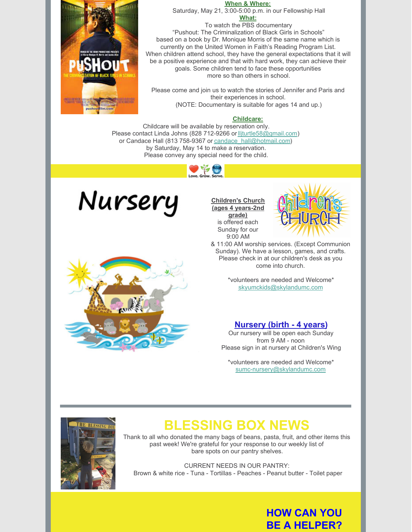#### **When & Where:**

Saturday, May 21, 3:00-5:00 p.m. in our Fellowship Hall **What:**

To watch the PBS documentary "Pushout: The Criminalization of Black Girls in Schools" based on a book by Dr. Monique Morris of the same name which is currently on the United Women in Faith's Reading Program List. When children attend school, they have the general expectations that it will be a positive experience and that with hard work, they can achieve their goals. Some children tend to face these opportunities more so than others in school.

Please come and join us to watch the stories of Jennifer and Paris and their experiences in school. (NOTE: Documentary is suitable for ages 14 and up.)

#### **Childcare:**

Childcare will be available by reservation only. Please contact Linda Johns (828 712-9266 or lliturtle58@gmail.com) or Candace Hall (813 758-9367 or [candace\\_hall@hotmail.com](mailto:candace_hall@hotmail.com)) by Saturday, May 14 to make a reservation. Please convey any special need for the child.





**Children's Church (ages 4 years-2nd grade)**

is offered each Sunday for our 9:00 AM



& 11:00 AM worship services. (Except Communion Sunday). We have a lesson, games, and crafts. Please check in at our children's desk as you come into church.

> \*volunteers are needed and Welcome\* [skyumckids@skylandumc.com](mailto:skyumckids@skylandumc.com)

#### **Nursery (birth - 4 years)**

Our nursery will be open each Sunday from 9 AM - noon Please sign in at nursery at Children's Wing

\*volunteers are needed and Welcome\* [sumc-nursery@skylandumc.com](mailto:sumc-nursery@skylandumc.com)





# **BLESSING BOX NEWS**

Thank to all who donated the many bags of beans, pasta, fruit, and other items this past week! We're grateful for your response to our weekly list of bare spots on our pantry shelves.

CURRENT NEEDS IN OUR PANTRY: Brown & white rice - Tuna - Tortillas - Peaches - Peanut butter - Toilet paper

# **HOW CAN YOU BE A HELPER?**